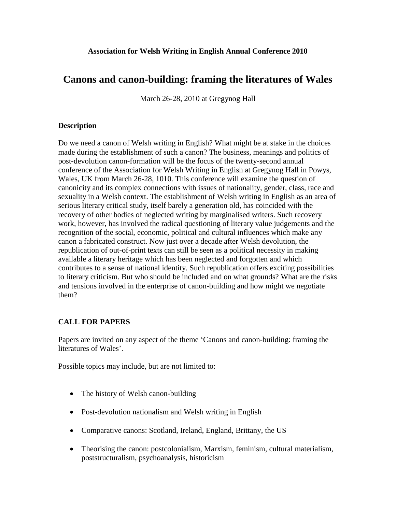## **Association for Welsh Writing in English Annual Conference 2010**

## **Canons and canon-building: framing the literatures of Wales**

March 26-28, 2010 at Gregynog Hall

## **Description**

Do we need a canon of Welsh writing in English? What might be at stake in the choices made during the establishment of such a canon? The business, meanings and politics of post-devolution canon-formation will be the focus of the twenty-second annual conference of the Association for Welsh Writing in English at Gregynog Hall in Powys, Wales, UK from March 26-28, 1010. This conference will examine the question of canonicity and its complex connections with issues of nationality, gender, class, race and sexuality in a Welsh context. The establishment of Welsh writing in English as an area of serious literary critical study, itself barely a generation old, has coincided with the recovery of other bodies of neglected writing by marginalised writers. Such recovery work, however, has involved the radical questioning of literary value judgements and the recognition of the social, economic, political and cultural influences which make any canon a fabricated construct. Now just over a decade after Welsh devolution, the republication of out-of-print texts can still be seen as a political necessity in making available a literary heritage which has been neglected and forgotten and which contributes to a sense of national identity. Such republication offers exciting possibilities to literary criticism. But who should be included and on what grounds? What are the risks and tensions involved in the enterprise of canon-building and how might we negotiate them?

## **CALL FOR PAPERS**

Papers are invited on any aspect of the theme 'Canons and canon-building: framing the literatures of Wales'.

Possible topics may include, but are not limited to:

- The history of Welsh canon-building
- Post-devolution nationalism and Welsh writing in English
- Comparative canons: Scotland, Ireland, England, Brittany, the US
- Theorising the canon: postcolonialism, Marxism, feminism, cultural materialism, poststructuralism, psychoanalysis, historicism